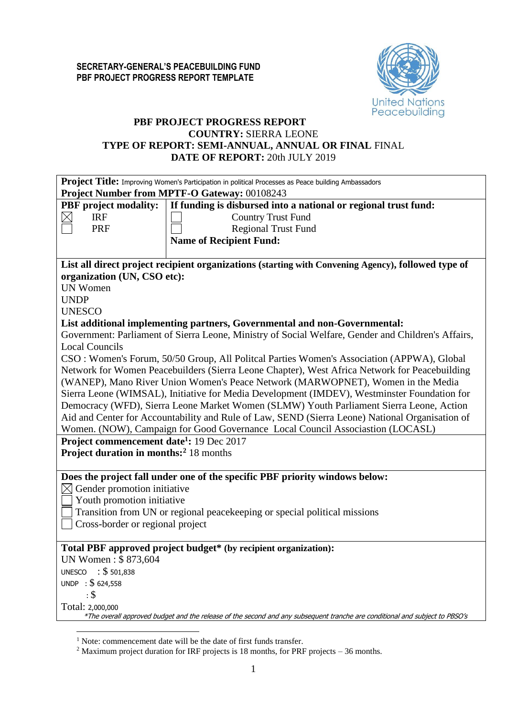

## **PBF PROJECT PROGRESS REPORT COUNTRY:** SIERRA LEONE **TYPE OF REPORT: SEMI-ANNUAL, ANNUAL OR FINAL** FINAL **DATE OF REPORT:** 20th JULY 2019

|                                                      | Project Title: Improving Women's Participation in political Processes as Peace building Ambassadors                         |  |  |  |  |  |  |  |
|------------------------------------------------------|-----------------------------------------------------------------------------------------------------------------------------|--|--|--|--|--|--|--|
|                                                      | Project Number from MPTF-O Gateway: 00108243                                                                                |  |  |  |  |  |  |  |
| <b>PBF</b> project modality:                         | If funding is disbursed into a national or regional trust fund:                                                             |  |  |  |  |  |  |  |
| <b>IRF</b><br>区                                      | <b>Country Trust Fund</b>                                                                                                   |  |  |  |  |  |  |  |
| <b>PRF</b>                                           | <b>Regional Trust Fund</b>                                                                                                  |  |  |  |  |  |  |  |
|                                                      | <b>Name of Recipient Fund:</b>                                                                                              |  |  |  |  |  |  |  |
|                                                      |                                                                                                                             |  |  |  |  |  |  |  |
|                                                      | List all direct project recipient organizations (starting with Convening Agency), followed type of                          |  |  |  |  |  |  |  |
| organization (UN, CSO etc):                          |                                                                                                                             |  |  |  |  |  |  |  |
| <b>UN Women</b>                                      |                                                                                                                             |  |  |  |  |  |  |  |
| <b>UNDP</b>                                          |                                                                                                                             |  |  |  |  |  |  |  |
| <b>UNESCO</b>                                        |                                                                                                                             |  |  |  |  |  |  |  |
|                                                      | List additional implementing partners, Governmental and non-Governmental:                                                   |  |  |  |  |  |  |  |
|                                                      | Government: Parliament of Sierra Leone, Ministry of Social Welfare, Gender and Children's Affairs,                          |  |  |  |  |  |  |  |
| <b>Local Councils</b>                                |                                                                                                                             |  |  |  |  |  |  |  |
|                                                      | CSO: Women's Forum, 50/50 Group, All Politcal Parties Women's Association (APPWA), Global                                   |  |  |  |  |  |  |  |
|                                                      | Network for Women Peacebuilders (Sierra Leone Chapter), West Africa Network for Peacebuilding                               |  |  |  |  |  |  |  |
|                                                      | (WANEP), Mano River Union Women's Peace Network (MARWOPNET), Women in the Media                                             |  |  |  |  |  |  |  |
|                                                      | Sierra Leone (WIMSAL), Initiative for Media Development (IMDEV), Westminster Foundation for                                 |  |  |  |  |  |  |  |
|                                                      | Democracy (WFD), Sierra Leone Market Women (SLMW) Youth Parliament Sierra Leone, Action                                     |  |  |  |  |  |  |  |
|                                                      | Aid and Center for Accountability and Rule of Law, SEND (Sierra Leone) National Organisation of                             |  |  |  |  |  |  |  |
|                                                      | Women. (NOW), Campaign for Good Governance Local Council Associastion (LOCASL)                                              |  |  |  |  |  |  |  |
| Project commencement date <sup>1</sup> : 19 Dec 2017 |                                                                                                                             |  |  |  |  |  |  |  |
| Project duration in months: <sup>2</sup> 18 months   |                                                                                                                             |  |  |  |  |  |  |  |
|                                                      |                                                                                                                             |  |  |  |  |  |  |  |
|                                                      | Does the project fall under one of the specific PBF priority windows below:                                                 |  |  |  |  |  |  |  |
| Gender promotion initiative<br>$\boxtimes$           |                                                                                                                             |  |  |  |  |  |  |  |
| Youth promotion initiative                           |                                                                                                                             |  |  |  |  |  |  |  |
|                                                      | Transition from UN or regional peacekeeping or special political missions                                                   |  |  |  |  |  |  |  |
| Cross-border or regional project                     |                                                                                                                             |  |  |  |  |  |  |  |
|                                                      |                                                                                                                             |  |  |  |  |  |  |  |
|                                                      | Total PBF approved project budget* (by recipient organization):                                                             |  |  |  |  |  |  |  |
| UN Women: \$873,604                                  |                                                                                                                             |  |  |  |  |  |  |  |
| $\therefore$ \$ 501,838<br><b>UNESCO</b>             |                                                                                                                             |  |  |  |  |  |  |  |
| UNDP : \$624,558                                     |                                                                                                                             |  |  |  |  |  |  |  |
| : \$                                                 |                                                                                                                             |  |  |  |  |  |  |  |
| Total: 2,000,000                                     |                                                                                                                             |  |  |  |  |  |  |  |
|                                                      | *The overall approved budget and the release of the second and any subsequent tranche are conditional and subject to PBSO's |  |  |  |  |  |  |  |
|                                                      |                                                                                                                             |  |  |  |  |  |  |  |

<sup>&</sup>lt;sup>1</sup> Note: commencement date will be the date of first funds transfer.

<sup>&</sup>lt;sup>2</sup> Maximum project duration for IRF projects is 18 months, for PRF projects – 36 months.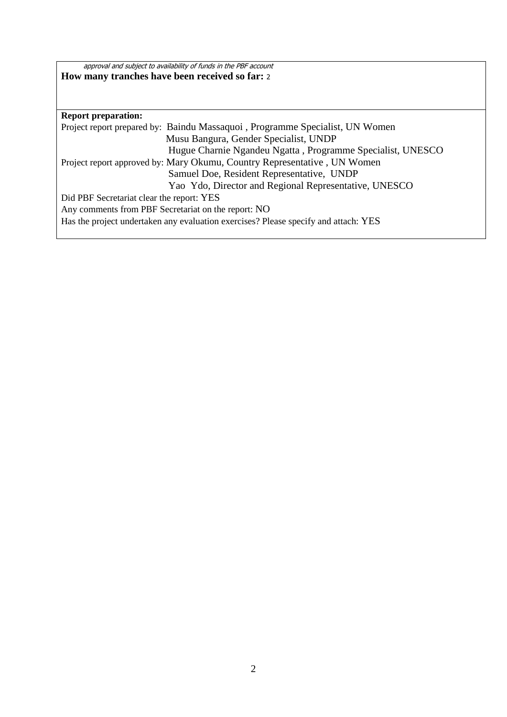approval and subject to availability of funds in the PBF account **How many tranches have been received so far:** <sup>2</sup>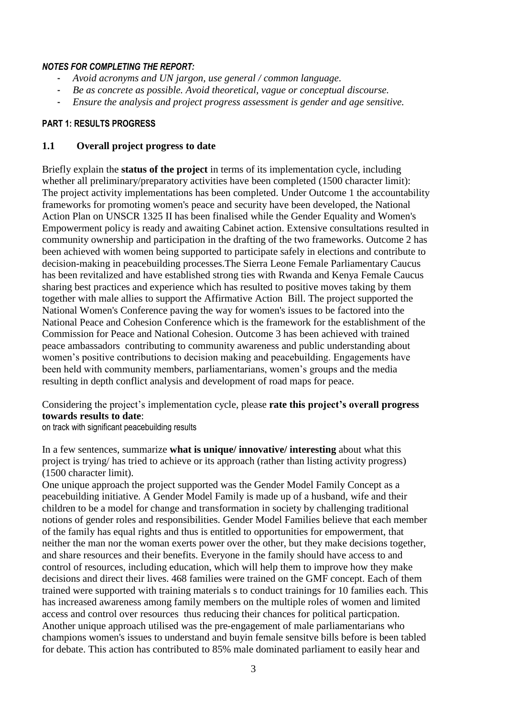#### *NOTES FOR COMPLETING THE REPORT:*

- *Avoid acronyms and UN jargon, use general / common language.*
- *Be as concrete as possible. Avoid theoretical, vague or conceptual discourse.*
- *Ensure the analysis and project progress assessment is gender and age sensitive.*

#### **PART 1: RESULTS PROGRESS**

#### **1.1 Overall project progress to date**

Briefly explain the **status of the project** in terms of its implementation cycle, including whether all preliminary/preparatory activities have been completed (1500 character limit): The project activity implementations has been completed. Under Outcome 1 the accountability frameworks for promoting women's peace and security have been developed, the National Action Plan on UNSCR 1325 II has been finalised while the Gender Equality and Women's Empowerment policy is ready and awaiting Cabinet action. Extensive consultations resulted in community ownership and participation in the drafting of the two frameworks. Outcome 2 has been achieved with women being supported to participate safely in elections and contribute to decision-making in peacebuilding processes.The Sierra Leone Female Parliamentary Caucus has been revitalized and have established strong ties with Rwanda and Kenya Female Caucus sharing best practices and experience which has resulted to positive moves taking by them together with male allies to support the Affirmative Action Bill. The project supported the National Women's Conference paving the way for women's issues to be factored into the National Peace and Cohesion Conference which is the framework for the establishment of the Commission for Peace and National Cohesion. Outcome 3 has been achieved with trained peace ambassadors contributing to community awareness and public understanding about women's positive contributions to decision making and peacebuilding. Engagements have been held with community members, parliamentarians, women's groups and the media resulting in depth conflict analysis and development of road maps for peace.

Considering the project's implementation cycle, please **rate this project's overall progress towards results to date**:

on track with significant peacebuilding results

In a few sentences, summarize **what is unique/ innovative/ interesting** about what this project is trying/ has tried to achieve or its approach (rather than listing activity progress) (1500 character limit).

One unique approach the project supported was the Gender Model Family Concept as a peacebuilding initiative. A Gender Model Family is made up of a husband, wife and their children to be a model for change and transformation in society by challenging traditional notions of gender roles and responsibilities. Gender Model Families believe that each member of the family has equal rights and thus is entitled to opportunities for empowerment, that neither the man nor the woman exerts power over the other, but they make decisions together, and share resources and their benefits. Everyone in the family should have access to and control of resources, including education, which will help them to improve how they make decisions and direct their lives. 468 families were trained on the GMF concept. Each of them trained were supported with training materials s to conduct trainings for 10 families each. This has increased awareness among family members on the multiple roles of women and limited access and control over resources thus reducing their chances for political particpation. Another unique approach utilised was the pre-engagement of male parliamentarians who champions women's issues to understand and buyin female sensitve bills before is been tabled for debate. This action has contributed to 85% male dominated parliament to easily hear and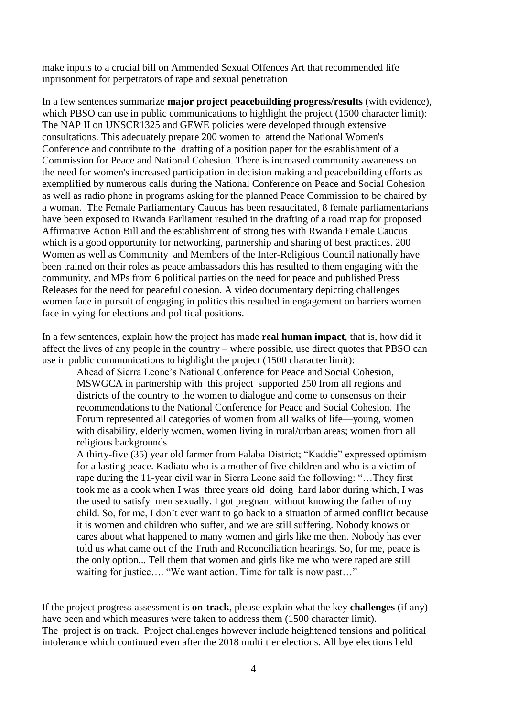make inputs to a crucial bill on Ammended Sexual Offences Art that recommended life inprisonment for perpetrators of rape and sexual penetration

In a few sentences summarize **major project peacebuilding progress/results** (with evidence), which PBSO can use in public communications to highlight the project (1500 character limit): The NAP II on UNSCR1325 and GEWE policies were developed through extensive consultations. This adequately prepare 200 women to attend the National Women's Conference and contribute to the drafting of a position paper for the establishment of a Commission for Peace and National Cohesion. There is increased community awareness on the need for women's increased participation in decision making and peacebuilding efforts as exemplified by numerous calls during the National Conference on Peace and Social Cohesion as well as radio phone in programs asking for the planned Peace Commission to be chaired by a woman. The Female Parliamentary Caucus has been resaucitated, 8 female parliamentarians have been exposed to Rwanda Parliament resulted in the drafting of a road map for proposed Affirmative Action Bill and the establishment of strong ties with Rwanda Female Caucus which is a good opportunity for networking, partnership and sharing of best practices. 200 Women as well as Community and Members of the Inter-Religious Council nationally have been trained on their roles as peace ambassadors this has resulted to them engaging with the community, and MPs from 6 political parties on the need for peace and published Press Releases for the need for peaceful cohesion. A video documentary depicting challenges women face in pursuit of engaging in politics this resulted in engagement on barriers women face in vying for elections and political positions.

In a few sentences, explain how the project has made **real human impact**, that is, how did it affect the lives of any people in the country – where possible, use direct quotes that PBSO can use in public communications to highlight the project (1500 character limit):

Ahead of Sierra Leone's National Conference for Peace and Social Cohesion, MSWGCA in partnership with this project supported 250 from all regions and districts of the country to the women to dialogue and come to consensus on their recommendations to the National Conference for Peace and Social Cohesion. The Forum represented all categories of women from all walks of life—young, women with disability, elderly women, women living in rural/urban areas; women from all religious backgrounds

A thirty-five (35) year old farmer from Falaba District; "Kaddie" expressed optimism for a lasting peace. Kadiatu who is a mother of five children and who is a victim of rape during the 11-year civil war in Sierra Leone said the following: "…They first took me as a cook when I was three years old doing hard labor during which, I was the used to satisfy men sexually. I got pregnant without knowing the father of my child. So, for me, I don't ever want to go back to a situation of armed conflict because it is women and children who suffer, and we are still suffering. Nobody knows or cares about what happened to many women and girls like me then. Nobody has ever told us what came out of the Truth and Reconciliation hearings. So, for me, peace is the only option... Tell them that women and girls like me who were raped are still waiting for justice.... "We want action. Time for talk is now past..."

If the project progress assessment is **on-track**, please explain what the key **challenges** (if any) have been and which measures were taken to address them (1500 character limit). The project is on track. Project challenges however include heightened tensions and political intolerance which continued even after the 2018 multi tier elections. All bye elections held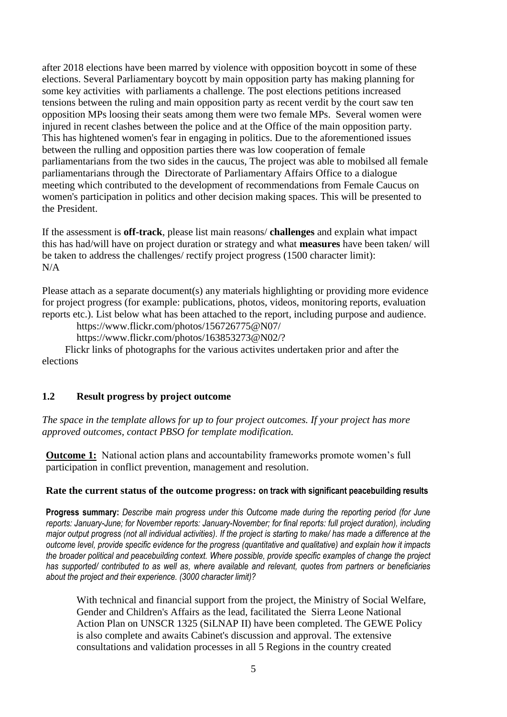after 2018 elections have been marred by violence with opposition boycott in some of these elections. Several Parliamentary boycott by main opposition party has making planning for some key activities with parliaments a challenge. The post elections petitions increased tensions between the ruling and main opposition party as recent verdit by the court saw ten opposition MPs loosing their seats among them were two female MPs. Several women were injured in recent clashes between the police and at the Office of the main opposition party. This has hightened women's fear in engaging in politics. Due to the aforementioned issues between the rulling and opposition parties there was low cooperation of female parliamentarians from the two sides in the caucus, The project was able to mobilsed all female parliamentarians through the Directorate of Parliamentary Affairs Office to a dialogue meeting which contributed to the development of recommendations from Female Caucus on women's participation in politics and other decision making spaces. This will be presented to the President.

If the assessment is **off-track**, please list main reasons/ **challenges** and explain what impact this has had/will have on project duration or strategy and what **measures** have been taken/ will be taken to address the challenges/ rectify project progress (1500 character limit): N/A

Please attach as a separate document(s) any materials highlighting or providing more evidence for project progress (for example: publications, photos, videos, monitoring reports, evaluation reports etc.). List below what has been attached to the report, including purpose and audience.

https://www.flickr.com/photos/156726775@N07/

https://www.flickr.com/photos/163853273@N02/?

 Flickr links of photographs for the various activites undertaken prior and after the elections

## **1.2 Result progress by project outcome**

*The space in the template allows for up to four project outcomes. If your project has more approved outcomes, contact PBSO for template modification.*

**Outcome 1:** National action plans and accountability frameworks promote women's full participation in conflict prevention, management and resolution.

### **Rate the current status of the outcome progress: on track with significant peacebuilding results**

**Progress summary:** *Describe main progress under this Outcome made during the reporting period (for June reports: January-June; for November reports: January-November; for final reports: full project duration), including major output progress (not all individual activities). If the project is starting to make/ has made a difference at the outcome level, provide specific evidence for the progress (quantitative and qualitative) and explain how it impacts the broader political and peacebuilding context. Where possible, provide specific examples of change the project has supported/ contributed to as well as, where available and relevant, quotes from partners or beneficiaries about the project and their experience. (3000 character limit)?* 

With technical and financial support from the project, the Ministry of Social Welfare, Gender and Children's Affairs as the lead, facilitated the Sierra Leone National Action Plan on UNSCR 1325 (SiLNAP II) have been completed. The GEWE Policy is also complete and awaits Cabinet's discussion and approval. The extensive consultations and validation processes in all 5 Regions in the country created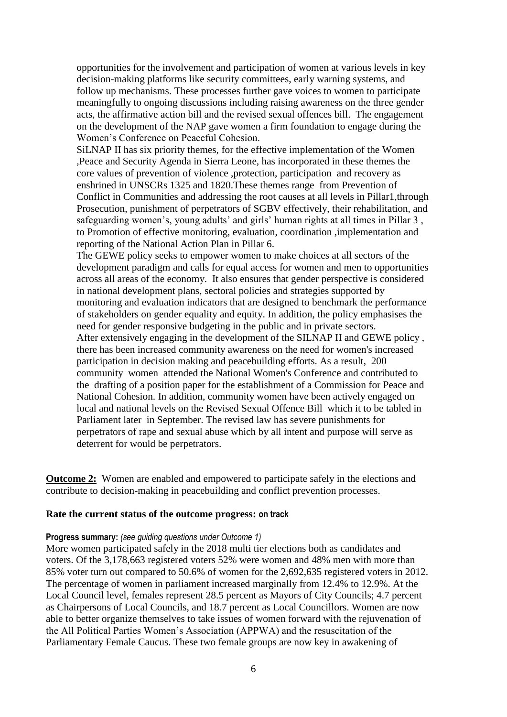opportunities for the involvement and participation of women at various levels in key decision-making platforms like security committees, early warning systems, and follow up mechanisms. These processes further gave voices to women to participate meaningfully to ongoing discussions including raising awareness on the three gender acts, the affirmative action bill and the revised sexual offences bill. The engagement on the development of the NAP gave women a firm foundation to engage during the Women's Conference on Peaceful Cohesion.

SiLNAP II has six priority themes, for the effective implementation of the Women ,Peace and Security Agenda in Sierra Leone, has incorporated in these themes the core values of prevention of violence ,protection, participation and recovery as enshrined in UNSCRs 1325 and 1820.These themes range from Prevention of Conflict in Communities and addressing the root causes at all levels in Pillar1,through Prosecution, punishment of perpetrators of SGBV effectively, their rehabilitation, and safeguarding women's, young adults' and girls' human rights at all times in Pillar 3 , to Promotion of effective monitoring, evaluation, coordination ,implementation and reporting of the National Action Plan in Pillar 6.

The GEWE policy seeks to empower women to make choices at all sectors of the development paradigm and calls for equal access for women and men to opportunities across all areas of the economy. It also ensures that gender perspective is considered in national development plans, sectoral policies and strategies supported by monitoring and evaluation indicators that are designed to benchmark the performance of stakeholders on gender equality and equity. In addition, the policy emphasises the need for gender responsive budgeting in the public and in private sectors. After extensively engaging in the development of the SILNAP II and GEWE policy , there has been increased community awareness on the need for women's increased participation in decision making and peacebuilding efforts. As a result, 200 community women attended the National Women's Conference and contributed to the drafting of a position paper for the establishment of a Commission for Peace and National Cohesion. In addition, community women have been actively engaged on local and national levels on the Revised Sexual Offence Bill which it to be tabled in Parliament later in September. The revised law has severe punishments for perpetrators of rape and sexual abuse which by all intent and purpose will serve as deterrent for would be perpetrators.

**Outcome 2:** Women are enabled and empowered to participate safely in the elections and contribute to decision-making in peacebuilding and conflict prevention processes.

#### **Rate the current status of the outcome progress: on track**

#### **Progress summary:** *(see guiding questions under Outcome 1)*

More women participated safely in the 2018 multi tier elections both as candidates and voters. Of the 3,178,663 registered voters 52% were women and 48% men with more than 85% voter turn out compared to 50.6% of women for the 2,692,635 registered voters in 2012. The percentage of women in parliament increased marginally from 12.4% to 12.9%. At the Local Council level, females represent 28.5 percent as Mayors of City Councils; 4.7 percent as Chairpersons of Local Councils, and 18.7 percent as Local Councillors. Women are now able to better organize themselves to take issues of women forward with the rejuvenation of the All Political Parties Women's Association (APPWA) and the resuscitation of the Parliamentary Female Caucus. These two female groups are now key in awakening of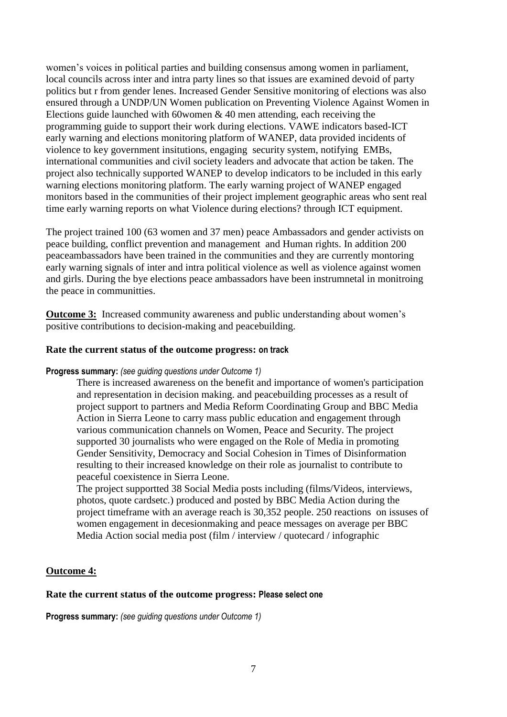women's voices in political parties and building consensus among women in parliament, local councils across inter and intra party lines so that issues are examined devoid of party politics but r from gender lenes. Increased Gender Sensitive monitoring of elections was also ensured through a UNDP/UN Women publication on Preventing Violence Against Women in Elections guide launched with 60 women  $\&$  40 men attending, each receiving the programming guide to support their work during elections. VAWE indicators based-ICT early warning and elections monitoring platform of WANEP, data provided incidents of violence to key government insitutions, engaging security system, notifying EMBs, international communities and civil society leaders and advocate that action be taken. The project also technically supported WANEP to develop indicators to be included in this early warning elections monitoring platform. The early warning project of WANEP engaged monitors based in the communities of their project implement geographic areas who sent real time early warning reports on what Violence during elections? through ICT equipment.

The project trained 100 (63 women and 37 men) peace Ambassadors and gender activists on peace building, conflict prevention and management and Human rights. In addition 200 peaceambassadors have been trained in the communities and they are currently montoring early warning signals of inter and intra political violence as well as violence against women and girls. During the bye elections peace ambassadors have been instrumnetal in monitroing the peace in communitties.

**Outcome 3:** Increased community awareness and public understanding about women's positive contributions to decision-making and peacebuilding.

#### **Rate the current status of the outcome progress: on track**

#### **Progress summary:** *(see guiding questions under Outcome 1)*

There is increased awareness on the benefit and importance of women's participation and representation in decision making. and peacebuilding processes as a result of project support to partners and Media Reform Coordinating Group and BBC Media Action in Sierra Leone to carry mass public education and engagement through various communication channels on Women, Peace and Security. The project supported 30 journalists who were engaged on the Role of Media in promoting Gender Sensitivity, Democracy and Social Cohesion in Times of Disinformation resulting to their increased knowledge on their role as journalist to contribute to peaceful coexistence in Sierra Leone.

The project supportted 38 Social Media posts including (films/Videos, interviews, photos, quote cardsetc.) produced and posted by BBC Media Action during the project timeframe with an average reach is 30,352 people. 250 reactions on issuses of women engagement in decesionmaking and peace messages on average per BBC Media Action social media post (film / interview / quotecard / infographic

### **Outcome 4:**

### **Rate the current status of the outcome progress: Please select one**

**Progress summary:** *(see guiding questions under Outcome 1)*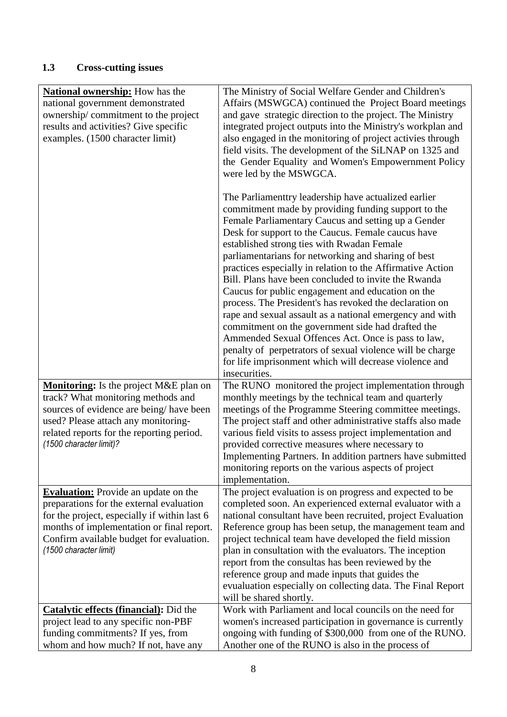# **1.3 Cross-cutting issues**

| <b>National ownership:</b> How has the                                                | The Ministry of Social Welfare Gender and Children's        |
|---------------------------------------------------------------------------------------|-------------------------------------------------------------|
| national government demonstrated                                                      | Affairs (MSWGCA) continued the Project Board meetings       |
| ownership/commitment to the project                                                   | and gave strategic direction to the project. The Ministry   |
| results and activities? Give specific                                                 | integrated project outputs into the Ministry's workplan and |
| examples. (1500 character limit)                                                      | also engaged in the monitoring of project activies through  |
|                                                                                       | field visits. The development of the SiLNAP on 1325 and     |
|                                                                                       | the Gender Equality and Women's Empowernment Policy         |
|                                                                                       | were led by the MSWGCA.                                     |
|                                                                                       |                                                             |
|                                                                                       |                                                             |
|                                                                                       | The Parliamenttry leadership have actualized earlier        |
|                                                                                       | commitment made by providing funding support to the         |
|                                                                                       | Female Parliamentary Caucus and setting up a Gender         |
|                                                                                       | Desk for support to the Caucus. Female caucus have          |
|                                                                                       | established strong ties with Rwadan Female                  |
|                                                                                       | parliamentarians for networking and sharing of best         |
|                                                                                       | practices especially in relation to the Affirmative Action  |
|                                                                                       | Bill. Plans have been concluded to invite the Rwanda        |
|                                                                                       | Caucus for public engagement and education on the           |
|                                                                                       | process. The President's has revoked the declaration on     |
|                                                                                       | rape and sexual assault as a national emergency and with    |
|                                                                                       | commitment on the government side had drafted the           |
|                                                                                       | Ammended Sexual Offences Act. Once is pass to law,          |
|                                                                                       | penalty of perpetrators of sexual violence will be charge   |
|                                                                                       | for life imprisonment which will decrease violence and      |
|                                                                                       | insecurities.                                               |
| <b>Monitoring:</b> Is the project M&E plan on                                         | The RUNO monitored the project implementation through       |
| track? What monitoring methods and                                                    | monthly meetings by the technical team and quarterly        |
| sources of evidence are being/have been                                               | meetings of the Programme Steering committee meetings.      |
| used? Please attach any monitoring-                                                   | The project staff and other administrative staffs also made |
| related reports for the reporting period.                                             | various field visits to assess project implementation and   |
| (1500 character limit)?                                                               | provided corrective measures where necessary to             |
|                                                                                       | Implementing Partners. In addition partners have submitted  |
|                                                                                       | monitoring reports on the various aspects of project        |
|                                                                                       | implementation.                                             |
| <b>Evaluation:</b> Provide an update on the                                           | The project evaluation is on progress and expected to be    |
| preparations for the external evaluation                                              | completed soon. An experienced external evaluator with a    |
| for the project, especially if within last 6                                          | national consultant have been recruited, project Evaluation |
| months of implementation or final report.                                             | Reference group has been setup, the management team and     |
| Confirm available budget for evaluation.                                              | project technical team have developed the field mission     |
| (1500 character limit)                                                                | plan in consultation with the evaluators. The inception     |
|                                                                                       | report from the consultas has been reviewed by the          |
|                                                                                       | reference group and made inputs that guides the             |
|                                                                                       | evualuation especially on collecting data. The Final Report |
|                                                                                       | will be shared shortly.                                     |
|                                                                                       | Work with Parliament and local councils on the need for     |
| <b>Catalytic effects (financial):</b> Did the<br>project lead to any specific non-PBF | women's increased participation in governance is currently  |
| funding commitments? If yes, from                                                     | ongoing with funding of \$300,000 from one of the RUNO.     |
|                                                                                       |                                                             |
| whom and how much? If not, have any                                                   | Another one of the RUNO is also in the process of           |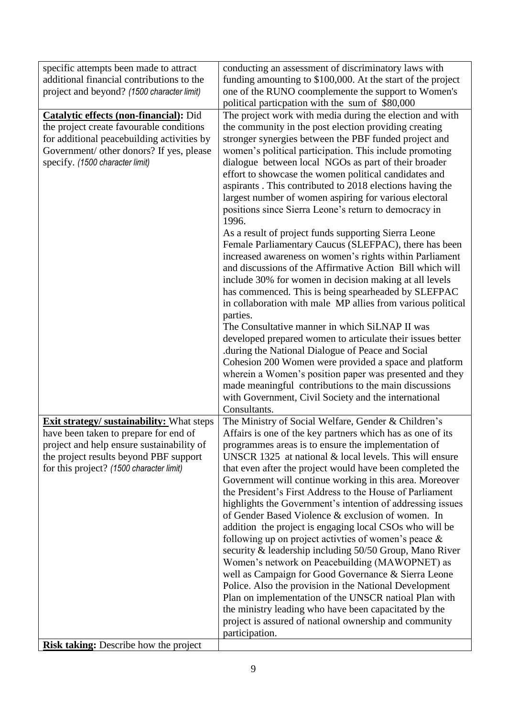| specific attempts been made to attract<br>additional financial contributions to the<br>project and beyond? (1500 character limit)                                                                                                                                            | conducting an assessment of discriminatory laws with<br>funding amounting to \$100,000. At the start of the project<br>one of the RUNO coomplemente the support to Women's<br>political particpation with the sum of \$80,000                                                                                                                                                                                                                                                                                                                                                                                                                                                                                                                                                                                                                                                                                                                                                                                                                                                                                                                                                                                                                                                                                                                                                                                |
|------------------------------------------------------------------------------------------------------------------------------------------------------------------------------------------------------------------------------------------------------------------------------|--------------------------------------------------------------------------------------------------------------------------------------------------------------------------------------------------------------------------------------------------------------------------------------------------------------------------------------------------------------------------------------------------------------------------------------------------------------------------------------------------------------------------------------------------------------------------------------------------------------------------------------------------------------------------------------------------------------------------------------------------------------------------------------------------------------------------------------------------------------------------------------------------------------------------------------------------------------------------------------------------------------------------------------------------------------------------------------------------------------------------------------------------------------------------------------------------------------------------------------------------------------------------------------------------------------------------------------------------------------------------------------------------------------|
| <b>Catalytic effects (non-financial):</b> Did<br>the project create favourable conditions<br>for additional peacebuilding activities by<br>Government/ other donors? If yes, please<br>specify. (1500 character limit)                                                       | The project work with media during the election and with<br>the community in the post election providing creating<br>stronger synergies between the PBF funded project and<br>women's political participation. This include promoting<br>dialogue between local NGOs as part of their broader<br>effort to showcase the women political candidates and<br>aspirants. This contributed to 2018 elections having the<br>largest number of women aspiring for various electoral<br>positions since Sierra Leone's return to democracy in<br>1996.<br>As a result of project funds supporting Sierra Leone<br>Female Parliamentary Caucus (SLEFPAC), there has been<br>increased awareness on women's rights within Parliament<br>and discussions of the Affirmative Action Bill which will<br>include 30% for women in decision making at all levels<br>has commenced. This is being spearheaded by SLEFPAC<br>in collaboration with male MP allies from various political<br>parties.<br>The Consultative manner in which SiLNAP II was<br>developed prepared women to articulate their issues better<br>during the National Dialogue of Peace and Social<br>Cohesion 200 Women were provided a space and platform<br>wherein a Women's position paper was presented and they<br>made meaningful contributions to the main discussions<br>with Government, Civil Society and the international<br>Consultants. |
| <b>Exit strategy/ sustainability:</b> What steps<br>have been taken to prepare for end of<br>project and help ensure sustainability of<br>the project results beyond PBF support<br>for this project? (1500 character limit)<br><b>Risk taking:</b> Describe how the project | The Ministry of Social Welfare, Gender & Children's<br>Affairs is one of the key partners which has as one of its<br>programmes areas is to ensure the implementation of<br>UNSCR 1325 at national $&$ local levels. This will ensure<br>that even after the project would have been completed the<br>Government will continue working in this area. Moreover<br>the President's First Address to the House of Parliament<br>highlights the Government's intention of addressing issues<br>of Gender Based Violence & exclusion of women. In<br>addition the project is engaging local CSOs who will be<br>following up on project activities of women's peace $\&$<br>security & leadership including 50/50 Group, Mano River<br>Women's network on Peacebuilding (MAWOPNET) as<br>well as Campaign for Good Governance & Sierra Leone<br>Police. Also the provision in the National Development<br>Plan on implementation of the UNSCR natioal Plan with<br>the ministry leading who have been capacitated by the<br>project is assured of national ownership and community<br>participation.                                                                                                                                                                                                                                                                                                              |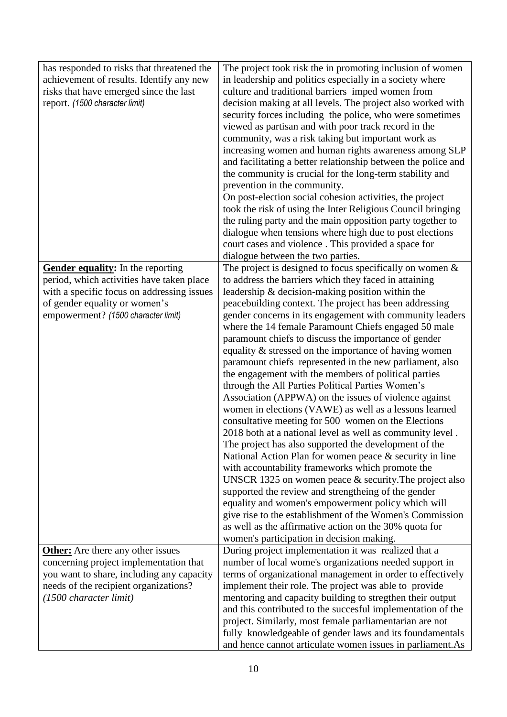| has responded to risks that threatened the<br>achievement of results. Identify any new<br>risks that have emerged since the last<br>report. (1500 character limit)                                   | The project took risk the in promoting inclusion of women<br>in leadership and politics especially in a society where<br>culture and traditional barriers imped women from<br>decision making at all levels. The project also worked with<br>security forces including the police, who were sometimes<br>viewed as partisan and with poor track record in the<br>community, was a risk taking but important work as<br>increasing women and human rights awareness among SLP<br>and facilitating a better relationship between the police and<br>the community is crucial for the long-term stability and<br>prevention in the community.<br>On post-election social cohesion activities, the project<br>took the risk of using the Inter Religious Council bringing<br>the ruling party and the main opposition party together to<br>dialogue when tensions where high due to post elections<br>court cases and violence. This provided a space for<br>dialogue between the two parties.                                                                                                                                                                                                                                                                                                                                                                                                                     |
|------------------------------------------------------------------------------------------------------------------------------------------------------------------------------------------------------|---------------------------------------------------------------------------------------------------------------------------------------------------------------------------------------------------------------------------------------------------------------------------------------------------------------------------------------------------------------------------------------------------------------------------------------------------------------------------------------------------------------------------------------------------------------------------------------------------------------------------------------------------------------------------------------------------------------------------------------------------------------------------------------------------------------------------------------------------------------------------------------------------------------------------------------------------------------------------------------------------------------------------------------------------------------------------------------------------------------------------------------------------------------------------------------------------------------------------------------------------------------------------------------------------------------------------------------------------------------------------------------------------------------|
| Gender equality: In the reporting<br>period, which activities have taken place<br>with a specific focus on addressing issues<br>of gender equality or women's<br>empowerment? (1500 character limit) | The project is designed to focus specifically on women $\&$<br>to address the barriers which they faced in attaining<br>leadership $&$ decision-making position within the<br>peacebuilding context. The project has been addressing<br>gender concerns in its engagement with community leaders<br>where the 14 female Paramount Chiefs engaged 50 male<br>paramount chiefs to discuss the importance of gender<br>equality & stressed on the importance of having women<br>paramount chiefs represented in the new parliament, also<br>the engagement with the members of political parties<br>through the All Parties Political Parties Women's<br>Association (APPWA) on the issues of violence against<br>women in elections (VAWE) as well as a lessons learned<br>consultative meeting for 500 women on the Elections<br>2018 both at a national level as well as community level.<br>The project has also supported the development of the<br>National Action Plan for women peace & security in line<br>with accountability frameworks which promote the<br>UNSCR 1325 on women peace $&$ security. The project also<br>supported the review and strengtheing of the gender<br>equality and women's empowerment policy which will<br>give rise to the establishment of the Women's Commission<br>as well as the affirmative action on the 30% quota for<br>women's participation in decision making. |
| <b>Other:</b> Are there any other issues<br>concerning project implementation that<br>you want to share, including any capacity<br>needs of the recipient organizations?<br>(1500 character limit)   | During project implementation it was realized that a<br>number of local wome's organizations needed support in<br>terms of organizational management in order to effectively<br>implement their role. The project was able to provide<br>mentoring and capacity building to stregthen their output<br>and this contributed to the succesful implementation of the<br>project. Similarly, most female parliamentarian are not<br>fully knowledgeable of gender laws and its foundamentals<br>and hence cannot articulate women issues in parliament.As                                                                                                                                                                                                                                                                                                                                                                                                                                                                                                                                                                                                                                                                                                                                                                                                                                                         |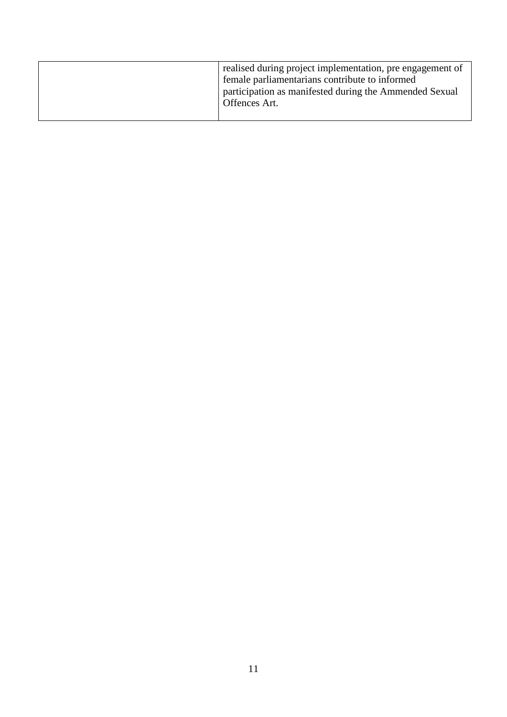| realised during project implementation, pre engagement of<br>female parliamentarians contribute to informed<br>participation as manifested during the Ammended Sexual<br>Offences Art. |
|----------------------------------------------------------------------------------------------------------------------------------------------------------------------------------------|
|                                                                                                                                                                                        |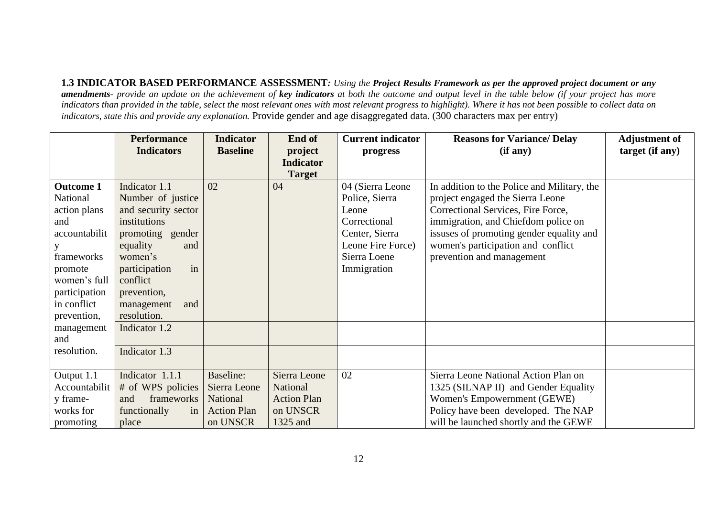**1.3 INDICATOR BASED PERFORMANCE ASSESSMENT***: Using the Project Results Framework as per the approved project document or any amendments- provide an update on the achievement of key indicators at both the outcome and output level in the table below (if your project has more indicators than provided in the table, select the most relevant ones with most relevant progress to highlight). Where it has not been possible to collect data on indicators, state this and provide any explanation.* Provide gender and age disaggregated data. (300 characters max per entry)

|                  | <b>Performance</b>              | <b>Indicator</b>   | End of             | <b>Current indicator</b> | <b>Reasons for Variance/ Delay</b>          | <b>Adjustment of</b> |
|------------------|---------------------------------|--------------------|--------------------|--------------------------|---------------------------------------------|----------------------|
|                  | <b>Indicators</b>               | <b>Baseline</b>    | project            | progress                 | (if any)                                    | target (if any)      |
|                  |                                 |                    | <b>Indicator</b>   |                          |                                             |                      |
|                  |                                 |                    | <b>Target</b>      |                          |                                             |                      |
| <b>Outcome 1</b> | Indicator 1.1                   | 02                 | 04                 | 04 (Sierra Leone         | In addition to the Police and Military, the |                      |
| National         | Number of justice               |                    |                    | Police, Sierra           | project engaged the Sierra Leone            |                      |
| action plans     | and security sector             |                    |                    | Leone                    | Correctional Services, Fire Force,          |                      |
| and              | institutions                    |                    |                    | Correctional             | immigration, and Chiefdom police on         |                      |
| accountabilit    | promoting gender                |                    |                    | Center, Sierra           | issuses of promoting gender equality and    |                      |
|                  | equality<br>and                 |                    |                    | Leone Fire Force)        | women's participation and conflict          |                      |
| frameworks       | women's                         |                    |                    | Sierra Loene             | prevention and management                   |                      |
| promote          | in<br>participation             |                    |                    | Immigration              |                                             |                      |
| women's full     | conflict                        |                    |                    |                          |                                             |                      |
| participation    | prevention,                     |                    |                    |                          |                                             |                      |
| in conflict      | management<br>and               |                    |                    |                          |                                             |                      |
| prevention,      | resolution.                     |                    |                    |                          |                                             |                      |
| management       | Indicator 1.2                   |                    |                    |                          |                                             |                      |
| and              |                                 |                    |                    |                          |                                             |                      |
| resolution.      | Indicator 1.3                   |                    |                    |                          |                                             |                      |
|                  |                                 |                    |                    |                          |                                             |                      |
| Output 1.1       | Indicator 1.1.1                 | <b>Baseline:</b>   | Sierra Leone       | 02                       | Sierra Leone National Action Plan on        |                      |
| Accountabilit    | # of WPS policies               | Sierra Leone       | National           |                          | 1325 (SILNAP II) and Gender Equality        |                      |
| y frame-         | frameworks<br>and               | National           | <b>Action Plan</b> |                          | Women's Empowernment (GEWE)                 |                      |
| works for        | functionally<br>in <sub>1</sub> | <b>Action Plan</b> | on UNSCR           |                          | Policy have been developed. The NAP         |                      |
| promoting        | place                           | on UNSCR           | 1325 and           |                          | will be launched shortly and the GEWE       |                      |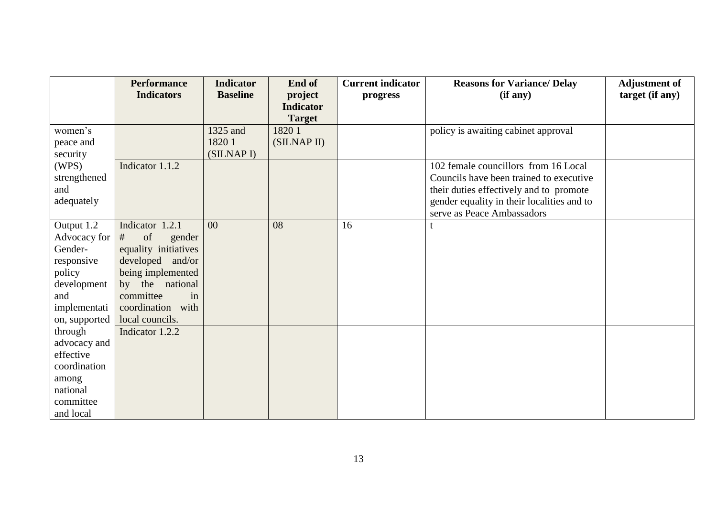|                          | <b>Performance</b>                   | <b>Indicator</b> | End of                      | <b>Current indicator</b> | <b>Reasons for Variance/ Delay</b>         | <b>Adjustment of</b> |
|--------------------------|--------------------------------------|------------------|-----------------------------|--------------------------|--------------------------------------------|----------------------|
|                          | <b>Indicators</b>                    | <b>Baseline</b>  | project<br><b>Indicator</b> | progress                 | (if any)                                   | target (if any)      |
|                          |                                      |                  | <b>Target</b>               |                          |                                            |                      |
| women's                  |                                      | 1325 and         | 1820 1                      |                          | policy is awaiting cabinet approval        |                      |
| peace and                |                                      | 18201            | (SILNAP II)                 |                          |                                            |                      |
| security                 |                                      | (SILNAP I)       |                             |                          |                                            |                      |
| (WPS)                    | Indicator 1.1.2                      |                  |                             |                          | 102 female councillors from 16 Local       |                      |
| strengthened             |                                      |                  |                             |                          | Councils have been trained to executive    |                      |
| and                      |                                      |                  |                             |                          | their duties effectively and to promote    |                      |
| adequately               |                                      |                  |                             |                          | gender equality in their localities and to |                      |
|                          |                                      |                  |                             |                          | serve as Peace Ambassadors                 |                      |
| Output 1.2               | Indicator 1.2.1                      | 00               | 08                          | 16                       |                                            |                      |
| Advocacy for             | of<br>#<br>gender                    |                  |                             |                          |                                            |                      |
| Gender-                  | equality initiatives                 |                  |                             |                          |                                            |                      |
| responsive               | developed and/or                     |                  |                             |                          |                                            |                      |
| policy                   | being implemented                    |                  |                             |                          |                                            |                      |
| development              | by the national                      |                  |                             |                          |                                            |                      |
| and                      | committee<br>in                      |                  |                             |                          |                                            |                      |
| implementati             | coordination with<br>local councils. |                  |                             |                          |                                            |                      |
| on, supported<br>through | Indicator 1.2.2                      |                  |                             |                          |                                            |                      |
| advocacy and             |                                      |                  |                             |                          |                                            |                      |
| effective                |                                      |                  |                             |                          |                                            |                      |
| coordination             |                                      |                  |                             |                          |                                            |                      |
| among                    |                                      |                  |                             |                          |                                            |                      |
| national                 |                                      |                  |                             |                          |                                            |                      |
| committee                |                                      |                  |                             |                          |                                            |                      |
| and local                |                                      |                  |                             |                          |                                            |                      |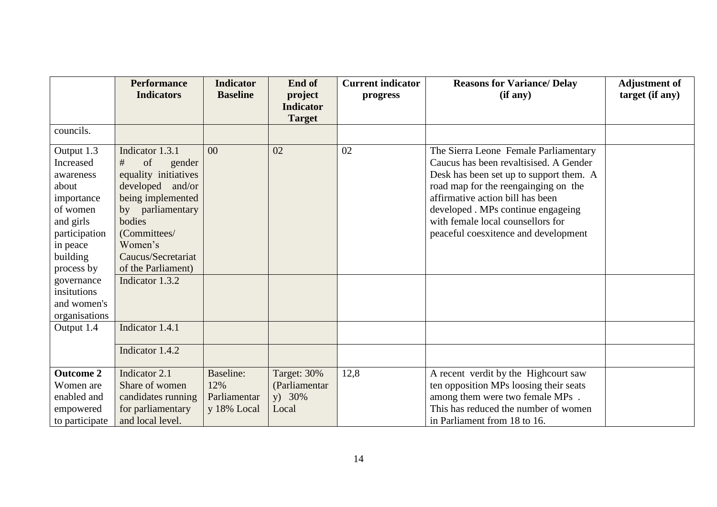|                                                                                                                                             | <b>Performance</b><br><b>Indicators</b>                                                                                                                                                                    | <b>Indicator</b><br><b>Baseline</b>                    | End of<br>project<br><b>Indicator</b>           | <b>Current indicator</b><br>progress | <b>Reasons for Variance/ Delay</b><br>(if any)                                                                                                                                                                                                                                                                            | <b>Adjustment of</b><br>target (if any) |
|---------------------------------------------------------------------------------------------------------------------------------------------|------------------------------------------------------------------------------------------------------------------------------------------------------------------------------------------------------------|--------------------------------------------------------|-------------------------------------------------|--------------------------------------|---------------------------------------------------------------------------------------------------------------------------------------------------------------------------------------------------------------------------------------------------------------------------------------------------------------------------|-----------------------------------------|
|                                                                                                                                             |                                                                                                                                                                                                            |                                                        | <b>Target</b>                                   |                                      |                                                                                                                                                                                                                                                                                                                           |                                         |
| councils.                                                                                                                                   |                                                                                                                                                                                                            |                                                        |                                                 |                                      |                                                                                                                                                                                                                                                                                                                           |                                         |
| Output 1.3<br>Increased<br>awareness<br>about<br>importance<br>of women<br>and girls<br>participation<br>in peace<br>building<br>process by | Indicator 1.3.1<br>of<br>#<br>gender<br>equality initiatives<br>developed and/or<br>being implemented<br>by parliamentary<br>bodies<br>(Committees/<br>Women's<br>Caucus/Secretariat<br>of the Parliament) | 00                                                     | 02                                              | 02                                   | The Sierra Leone Female Parliamentary<br>Caucus has been revaltisised. A Gender<br>Desk has been set up to support them. A<br>road map for the reengainging on the<br>affirmative action bill has been<br>developed . MPs continue engageing<br>with female local counsellors for<br>peaceful coesxitence and development |                                         |
| governance<br>insitutions<br>and women's<br>organisations                                                                                   | Indicator 1.3.2                                                                                                                                                                                            |                                                        |                                                 |                                      |                                                                                                                                                                                                                                                                                                                           |                                         |
| Output 1.4                                                                                                                                  | Indicator 1.4.1                                                                                                                                                                                            |                                                        |                                                 |                                      |                                                                                                                                                                                                                                                                                                                           |                                         |
|                                                                                                                                             | Indicator 1.4.2                                                                                                                                                                                            |                                                        |                                                 |                                      |                                                                                                                                                                                                                                                                                                                           |                                         |
| <b>Outcome 2</b><br>Women are<br>enabled and<br>empowered<br>to participate                                                                 | Indicator 2.1<br>Share of women<br>candidates running<br>for parliamentary<br>and local level.                                                                                                             | <b>Baseline:</b><br>12%<br>Parliamentar<br>y 18% Local | Target: 30%<br>(Parliamentar<br>y) 30%<br>Local | 12,8                                 | A recent verdit by the Highcourt saw<br>ten opposition MPs loosing their seats<br>among them were two female MPs.<br>This has reduced the number of women<br>in Parliament from 18 to 16.                                                                                                                                 |                                         |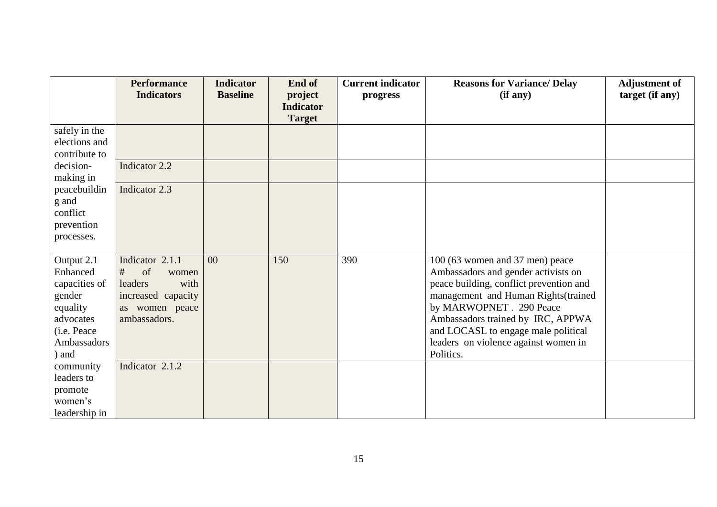|                                                                                                                                            | <b>Performance</b><br><b>Indicators</b>                                                                                           | <b>Indicator</b><br><b>Baseline</b> | End of<br>project<br><b>Indicator</b><br><b>Target</b> | <b>Current indicator</b><br>progress | <b>Reasons for Variance/ Delay</b><br>(if any)                                                                                                                                                                                                                                                                        | <b>Adjustment of</b><br>target (if any) |
|--------------------------------------------------------------------------------------------------------------------------------------------|-----------------------------------------------------------------------------------------------------------------------------------|-------------------------------------|--------------------------------------------------------|--------------------------------------|-----------------------------------------------------------------------------------------------------------------------------------------------------------------------------------------------------------------------------------------------------------------------------------------------------------------------|-----------------------------------------|
| safely in the<br>elections and<br>contribute to<br>decision-<br>making in<br>peacebuildin<br>g and<br>conflict<br>prevention<br>processes. | Indicator 2.2<br>Indicator 2.3                                                                                                    |                                     |                                                        |                                      |                                                                                                                                                                                                                                                                                                                       |                                         |
| Output 2.1<br>Enhanced<br>capacities of<br>gender<br>equality<br>advocates<br>(i.e. Peace<br>Ambassadors<br>) and<br>community             | Indicator 2.1.1<br>of<br>#<br>women<br>with<br>leaders<br>increased capacity<br>as women peace<br>ambassadors.<br>Indicator 2.1.2 | 00                                  | 150                                                    | 390                                  | 100 (63 women and 37 men) peace<br>Ambassadors and gender activists on<br>peace building, conflict prevention and<br>management and Human Rights(trained<br>by MARWOPNET . 290 Peace<br>Ambassadors trained by IRC, APPWA<br>and LOCASL to engage male political<br>leaders on violence against women in<br>Politics. |                                         |
| leaders to<br>promote<br>women's<br>leadership in                                                                                          |                                                                                                                                   |                                     |                                                        |                                      |                                                                                                                                                                                                                                                                                                                       |                                         |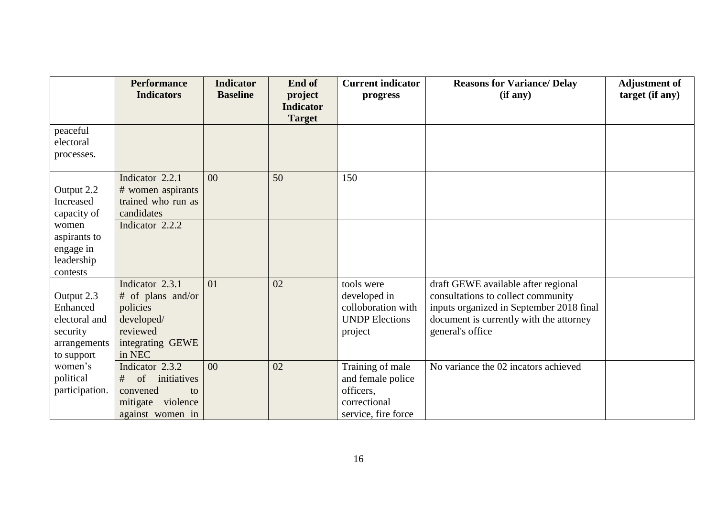|                            | <b>Performance</b>     | <b>Indicator</b> | End of           | <b>Current indicator</b> | <b>Reasons for Variance/ Delay</b>                          | <b>Adjustment of</b> |
|----------------------------|------------------------|------------------|------------------|--------------------------|-------------------------------------------------------------|----------------------|
|                            | <b>Indicators</b>      | <b>Baseline</b>  | project          | progress                 | (if any)                                                    | target (if any)      |
|                            |                        |                  | <b>Indicator</b> |                          |                                                             |                      |
|                            |                        |                  | <b>Target</b>    |                          |                                                             |                      |
| peaceful<br>electoral      |                        |                  |                  |                          |                                                             |                      |
|                            |                        |                  |                  |                          |                                                             |                      |
| processes.                 |                        |                  |                  |                          |                                                             |                      |
|                            | Indicator 2.2.1        | 00               | 50               | 150                      |                                                             |                      |
| Output 2.2                 | # women aspirants      |                  |                  |                          |                                                             |                      |
| Increased                  | trained who run as     |                  |                  |                          |                                                             |                      |
| capacity of                | candidates             |                  |                  |                          |                                                             |                      |
| women                      | Indicator 2.2.2        |                  |                  |                          |                                                             |                      |
| aspirants to               |                        |                  |                  |                          |                                                             |                      |
| engage in                  |                        |                  |                  |                          |                                                             |                      |
| leadership                 |                        |                  |                  |                          |                                                             |                      |
| contests                   |                        |                  |                  |                          |                                                             |                      |
|                            | Indicator 2.3.1        | 01               | 02               | tools were               | draft GEWE available after regional                         |                      |
| Output 2.3                 | # of plans and/or      |                  |                  | developed in             | consultations to collect community                          |                      |
| Enhanced                   | policies               |                  |                  | colloboration with       | inputs organized in September 2018 final                    |                      |
| electoral and              | developed/<br>reviewed |                  |                  | <b>UNDP Elections</b>    | document is currently with the attorney<br>general's office |                      |
| security                   | integrating GEWE       |                  |                  | project                  |                                                             |                      |
| arrangements<br>to support | in NEC                 |                  |                  |                          |                                                             |                      |
| women's                    | Indicator 2.3.2        | 00               | 02               | Training of male         | No variance the 02 incators achieved                        |                      |
| political                  | $#$ of<br>initiatives  |                  |                  | and female police        |                                                             |                      |
| participation.             | convened<br>to         |                  |                  | officers,                |                                                             |                      |
|                            | mitigate violence      |                  |                  | correctional             |                                                             |                      |
|                            | against women in       |                  |                  | service, fire force      |                                                             |                      |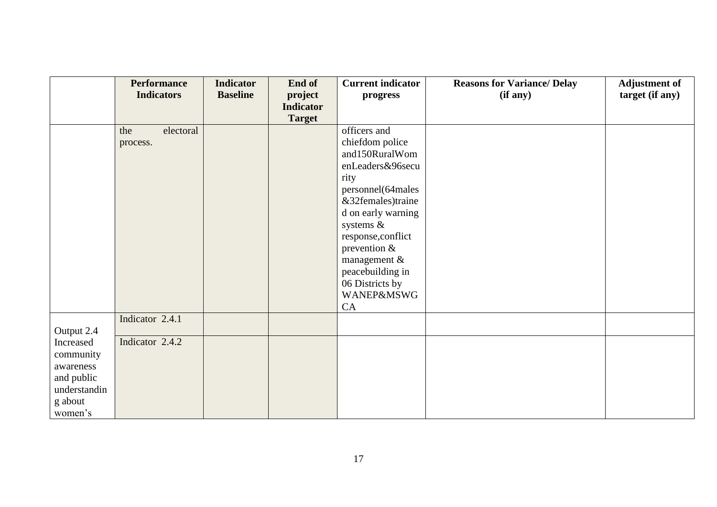|                                                                                         | <b>Performance</b><br><b>Indicators</b> | <b>Indicator</b><br><b>Baseline</b> | End of<br>project | <b>Current indicator</b><br>progress                                                                                                                                                                                                 | <b>Reasons for Variance/ Delay</b><br>(if any) | <b>Adjustment of</b><br>target (if any) |
|-----------------------------------------------------------------------------------------|-----------------------------------------|-------------------------------------|-------------------|--------------------------------------------------------------------------------------------------------------------------------------------------------------------------------------------------------------------------------------|------------------------------------------------|-----------------------------------------|
|                                                                                         |                                         |                                     | <b>Indicator</b>  |                                                                                                                                                                                                                                      |                                                |                                         |
|                                                                                         |                                         |                                     | <b>Target</b>     |                                                                                                                                                                                                                                      |                                                |                                         |
|                                                                                         | the<br>electoral<br>process.            |                                     |                   | officers and<br>chiefdom police<br>and150RuralWom<br>enLeaders&96secu<br>rity<br>personnel(64males<br>&32females)traine<br>d on early warning<br>systems &<br>response, conflict<br>prevention &<br>management &<br>peacebuilding in |                                                |                                         |
|                                                                                         |                                         |                                     |                   | 06 Districts by<br><b>WANEP&amp;MSWG</b><br>CA                                                                                                                                                                                       |                                                |                                         |
| Output 2.4                                                                              | Indicator 2.4.1                         |                                     |                   |                                                                                                                                                                                                                                      |                                                |                                         |
| Increased<br>community<br>awareness<br>and public<br>understandin<br>g about<br>women's | Indicator 2.4.2                         |                                     |                   |                                                                                                                                                                                                                                      |                                                |                                         |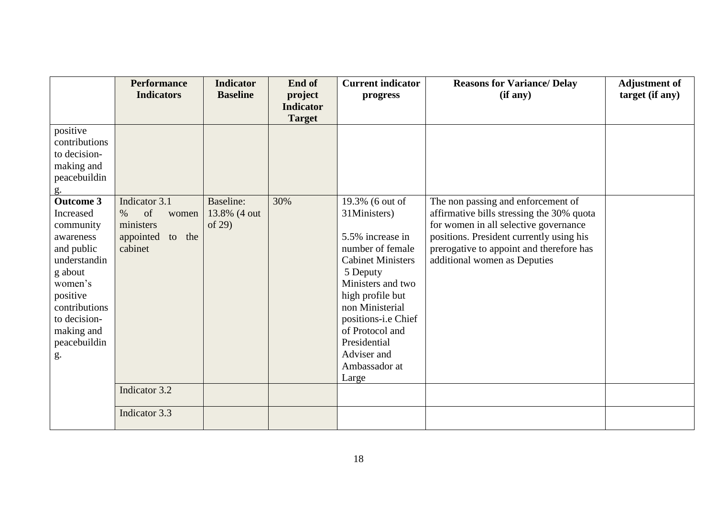|                  | <b>Performance</b>  | <b>Indicator</b> | End of           | <b>Current indicator</b> | <b>Reasons for Variance/ Delay</b>        | <b>Adjustment of</b> |
|------------------|---------------------|------------------|------------------|--------------------------|-------------------------------------------|----------------------|
|                  | <b>Indicators</b>   | <b>Baseline</b>  | project          | progress                 | (if any)                                  | target (if any)      |
|                  |                     |                  | <b>Indicator</b> |                          |                                           |                      |
|                  |                     |                  | <b>Target</b>    |                          |                                           |                      |
| positive         |                     |                  |                  |                          |                                           |                      |
| contributions    |                     |                  |                  |                          |                                           |                      |
| to decision-     |                     |                  |                  |                          |                                           |                      |
| making and       |                     |                  |                  |                          |                                           |                      |
| peacebuildin     |                     |                  |                  |                          |                                           |                      |
| $g$ .            |                     |                  |                  |                          |                                           |                      |
| <b>Outcome 3</b> | Indicator 3.1       | Baseline:        | 30%              | 19.3% (6 out of          | The non passing and enforcement of        |                      |
| Increased        | of<br>$\%$<br>women | 13.8% (4 out     |                  | 31Ministers)             | affirmative bills stressing the 30% quota |                      |
| community        | ministers           | of $29$          |                  |                          | for women in all selective governance     |                      |
| awareness        | appointed<br>to the |                  |                  | 5.5% increase in         | positions. President currently using his  |                      |
| and public       | cabinet             |                  |                  | number of female         | prerogative to appoint and therefore has  |                      |
| understandin     |                     |                  |                  | <b>Cabinet Ministers</b> | additional women as Deputies              |                      |
| g about          |                     |                  |                  | 5 Deputy                 |                                           |                      |
| women's          |                     |                  |                  | Ministers and two        |                                           |                      |
| positive         |                     |                  |                  | high profile but         |                                           |                      |
| contributions    |                     |                  |                  | non Ministerial          |                                           |                      |
| to decision-     |                     |                  |                  | positions-i.e Chief      |                                           |                      |
| making and       |                     |                  |                  | of Protocol and          |                                           |                      |
| peacebuildin     |                     |                  |                  | Presidential             |                                           |                      |
| g.               |                     |                  |                  | Adviser and              |                                           |                      |
|                  |                     |                  |                  | Ambassador at            |                                           |                      |
|                  |                     |                  |                  | Large                    |                                           |                      |
|                  | Indicator 3.2       |                  |                  |                          |                                           |                      |
|                  | Indicator 3.3       |                  |                  |                          |                                           |                      |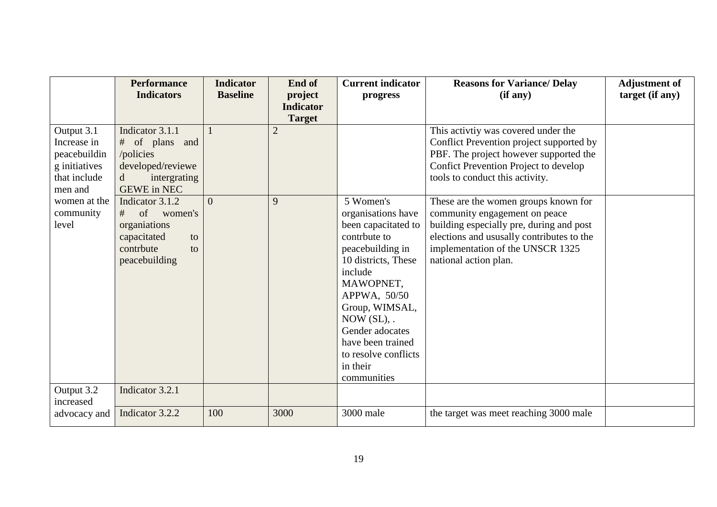|               | <b>Performance</b>          | <b>Indicator</b> | End of           | <b>Current indicator</b>    | <b>Reasons for Variance/ Delay</b>        | <b>Adjustment of</b> |
|---------------|-----------------------------|------------------|------------------|-----------------------------|-------------------------------------------|----------------------|
|               | <b>Indicators</b>           | <b>Baseline</b>  | project          | progress                    | (if any)                                  | target (if any)      |
|               |                             |                  | <b>Indicator</b> |                             |                                           |                      |
|               |                             |                  | <b>Target</b>    |                             |                                           |                      |
| Output 3.1    | Indicator 3.1.1             |                  | $\mathbf{2}$     |                             | This activity was covered under the       |                      |
| Increase in   | # of plans and              |                  |                  |                             | Conflict Prevention project supported by  |                      |
| peacebuildin  | /policies                   |                  |                  |                             | PBF. The project however supported the    |                      |
| g initiatives | developed/reviewe           |                  |                  |                             | Confict Prevention Project to develop     |                      |
| that include  | intergrating<br>$\mathbf d$ |                  |                  |                             | tools to conduct this activity.           |                      |
| men and       | <b>GEWE</b> in NEC          |                  |                  |                             |                                           |                      |
| women at the  | Indicator 3.1.2             | $\Omega$         | 9                | 5 Women's                   | These are the women groups known for      |                      |
| community     | of<br>women's<br>#          |                  |                  | organisations have          | community engagement on peace             |                      |
| level         | organiations                |                  |                  | been capacitated to         | building especially pre, during and post  |                      |
|               | capacitated<br>to           |                  |                  | contrbute to                | elections and ususally contributes to the |                      |
|               | contrbute<br>to             |                  |                  | peacebuilding in            | implementation of the UNSCR 1325          |                      |
|               | peacebuilding               |                  |                  | 10 districts, These         | national action plan.                     |                      |
|               |                             |                  |                  | include                     |                                           |                      |
|               |                             |                  |                  | MAWOPNET,                   |                                           |                      |
|               |                             |                  |                  | APPWA, 50/50                |                                           |                      |
|               |                             |                  |                  | Group, WIMSAL,              |                                           |                      |
|               |                             |                  |                  | $\text{Now}(\text{SL})$ , . |                                           |                      |
|               |                             |                  |                  | Gender adocates             |                                           |                      |
|               |                             |                  |                  | have been trained           |                                           |                      |
|               |                             |                  |                  | to resolve conflicts        |                                           |                      |
|               |                             |                  |                  | in their                    |                                           |                      |
|               |                             |                  |                  | communities                 |                                           |                      |
| Output 3.2    | Indicator 3.2.1             |                  |                  |                             |                                           |                      |
| increased     | Indicator 3.2.2             | 100              | 3000             | 3000 male                   | the target was meet reaching 3000 male    |                      |
| advocacy and  |                             |                  |                  |                             |                                           |                      |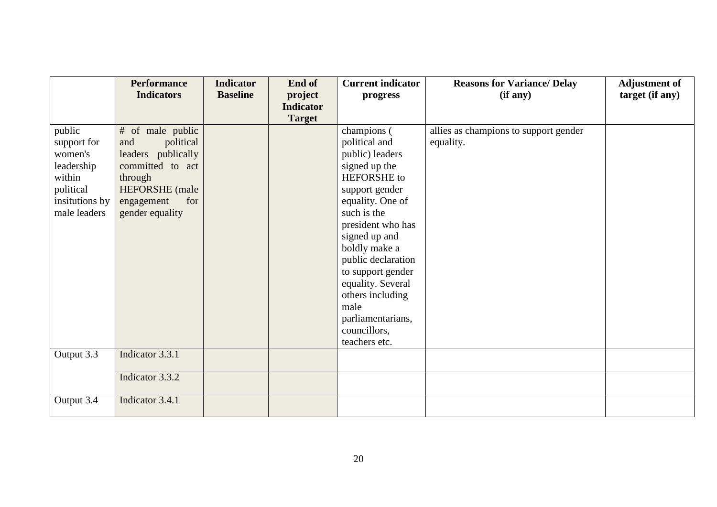|                                                                                                         | <b>Performance</b><br><b>Indicators</b>                                                                                                                    | <b>Indicator</b><br><b>Baseline</b> | End of<br>project<br><b>Indicator</b> | <b>Current indicator</b><br>progress                                                                                                                                                                                                                                                                                                          | <b>Reasons for Variance/ Delay</b><br>(if any)     | <b>Adjustment of</b><br>target (if any) |
|---------------------------------------------------------------------------------------------------------|------------------------------------------------------------------------------------------------------------------------------------------------------------|-------------------------------------|---------------------------------------|-----------------------------------------------------------------------------------------------------------------------------------------------------------------------------------------------------------------------------------------------------------------------------------------------------------------------------------------------|----------------------------------------------------|-----------------------------------------|
|                                                                                                         |                                                                                                                                                            |                                     | <b>Target</b>                         |                                                                                                                                                                                                                                                                                                                                               |                                                    |                                         |
| public<br>support for<br>women's<br>leadership<br>within<br>political<br>insitutions by<br>male leaders | # of male public<br>political<br>and<br>leaders publically<br>committed to act<br>through<br><b>HEFORSHE</b> (male<br>for<br>engagement<br>gender equality |                                     |                                       | champions (<br>political and<br>public) leaders<br>signed up the<br>HEFORSHE to<br>support gender<br>equality. One of<br>such is the<br>president who has<br>signed up and<br>boldly make a<br>public declaration<br>to support gender<br>equality. Several<br>others including<br>male<br>parliamentarians,<br>councillors,<br>teachers etc. | allies as champions to support gender<br>equality. |                                         |
| Output 3.3                                                                                              | Indicator 3.3.1                                                                                                                                            |                                     |                                       |                                                                                                                                                                                                                                                                                                                                               |                                                    |                                         |
|                                                                                                         | Indicator 3.3.2                                                                                                                                            |                                     |                                       |                                                                                                                                                                                                                                                                                                                                               |                                                    |                                         |
| Output 3.4                                                                                              | Indicator 3.4.1                                                                                                                                            |                                     |                                       |                                                                                                                                                                                                                                                                                                                                               |                                                    |                                         |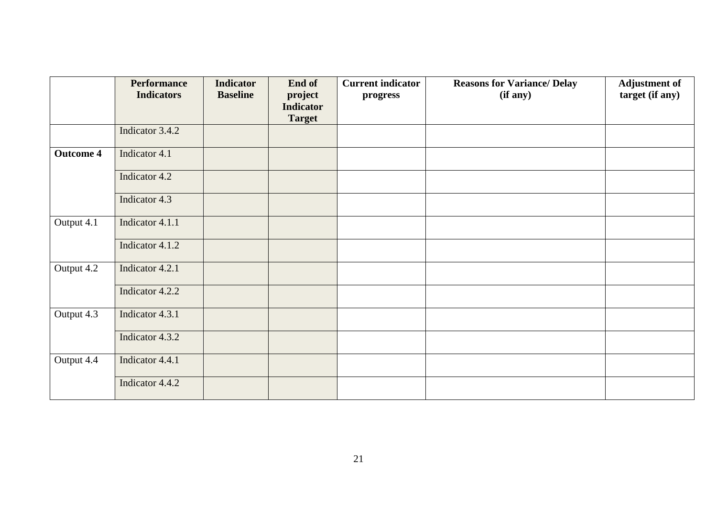|                  | <b>Performance</b><br><b>Indicators</b> | <b>Indicator</b><br><b>Baseline</b> | End of<br>project<br><b>Indicator</b><br><b>Target</b> | <b>Current indicator</b><br>progress | <b>Reasons for Variance/ Delay</b><br>(if any) | <b>Adjustment of</b><br>target (if any) |
|------------------|-----------------------------------------|-------------------------------------|--------------------------------------------------------|--------------------------------------|------------------------------------------------|-----------------------------------------|
|                  | Indicator 3.4.2                         |                                     |                                                        |                                      |                                                |                                         |
| <b>Outcome 4</b> | Indicator 4.1                           |                                     |                                                        |                                      |                                                |                                         |
|                  | Indicator 4.2                           |                                     |                                                        |                                      |                                                |                                         |
|                  | Indicator 4.3                           |                                     |                                                        |                                      |                                                |                                         |
| Output 4.1       | Indicator 4.1.1                         |                                     |                                                        |                                      |                                                |                                         |
|                  | Indicator 4.1.2                         |                                     |                                                        |                                      |                                                |                                         |
| Output 4.2       | Indicator 4.2.1                         |                                     |                                                        |                                      |                                                |                                         |
|                  | Indicator 4.2.2                         |                                     |                                                        |                                      |                                                |                                         |
| Output 4.3       | Indicator 4.3.1                         |                                     |                                                        |                                      |                                                |                                         |
|                  | Indicator 4.3.2                         |                                     |                                                        |                                      |                                                |                                         |
| Output 4.4       | Indicator 4.4.1                         |                                     |                                                        |                                      |                                                |                                         |
|                  | Indicator 4.4.2                         |                                     |                                                        |                                      |                                                |                                         |